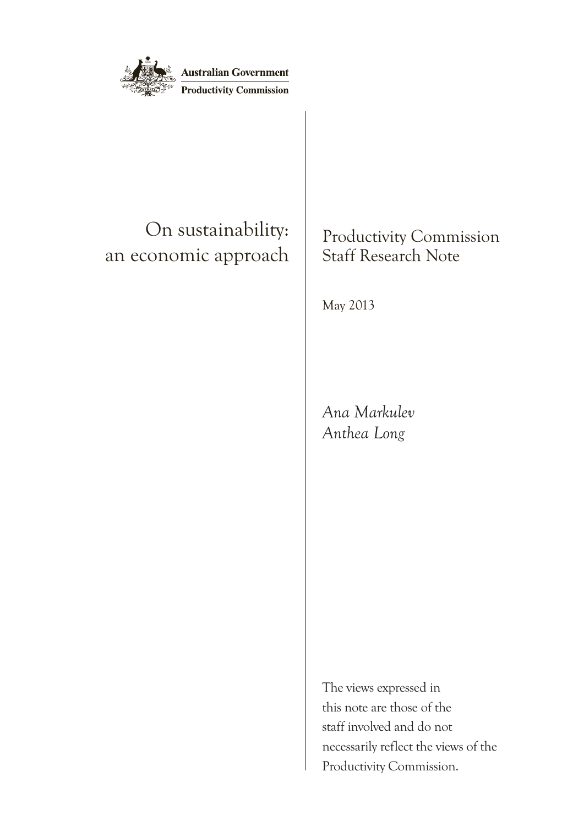

## On sustainability: an economic approach

Productivity Commission Staff Research Note

May 2013

*Ana Markulev Anthea Long*

The views expressed in this note are those of the staff involved and do not necessarily reflect the views of the Productivity Commission.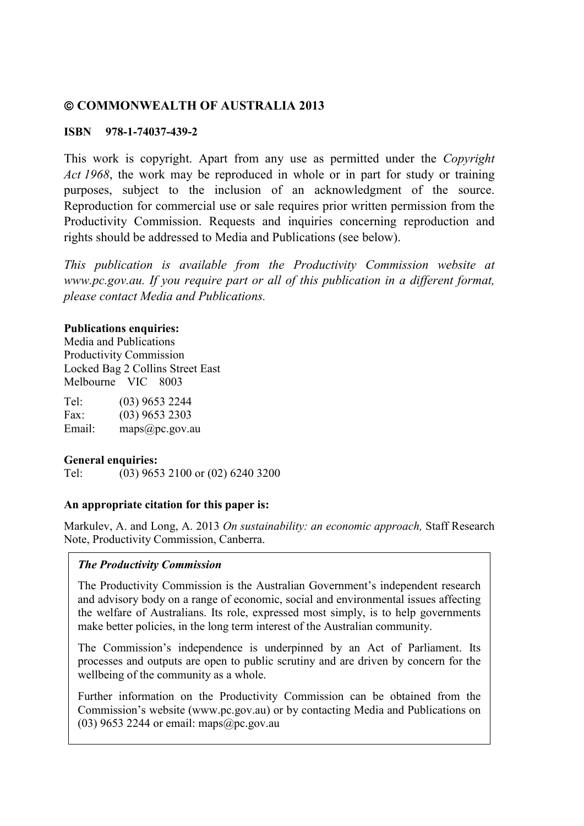#### **COMMONWEALTH OF AUSTRALIA 2013**

#### **ISBN 978-1-74037-439-2**

This work is copyright. Apart from any use as permitted under the *Copyright Act 1968*, the work may be reproduced in whole or in part for study or training purposes, subject to the inclusion of an acknowledgment of the source. Reproduction for commercial use or sale requires prior written permission from the Productivity Commission. Requests and inquiries concerning reproduction and rights should be addressed to Media and Publications (see below).

*This publication is available from the Productivity Commission website at www.pc.gov.au. If you require part or all of this publication in a different format, please contact Media and Publications.*

#### **Publications enquiries:**

Media and Publications Productivity Commission Locked Bag 2 Collins Street East Melbourne VIC 8003

| Tel:   | $(03)$ 9653 2244 |
|--------|------------------|
| Fax:   | $(03)$ 9653 2303 |
| Email: | maps@pc.gov.au   |

#### **General enquiries:**

Tel: (03) 9653 2100 or (02) 6240 3200

#### **An appropriate citation for this paper is:**

Markulev, A. and Long, A. 2013 *On sustainability: an economic approach,* Staff Research Note, Productivity Commission, Canberra.

#### *The Productivity Commission*

The Productivity Commission is the Australian Government's independent research and advisory body on a range of economic, social and environmental issues affecting the welfare of Australians. Its role, expressed most simply, is to help governments make better policies, in the long term interest of the Australian community.

The Commission's independence is underpinned by an Act of Parliament. Its processes and outputs are open to public scrutiny and are driven by concern for the wellbeing of the community as a whole.

Further information on the Productivity Commission can be obtained from the Commission's website (www.pc.gov.au) or by contacting Media and Publications on (03) 9653 2244 or email: maps $(a)$ pc.gov.au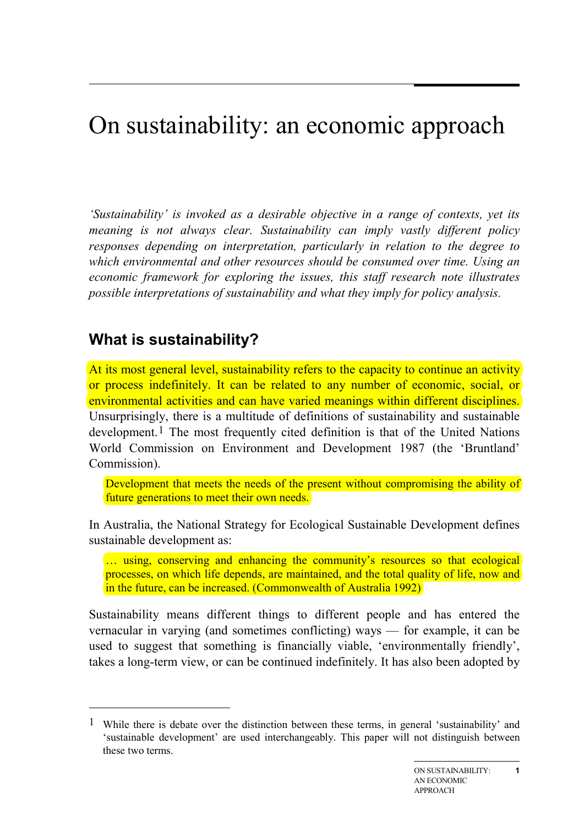# On sustainability: an economic approach

*'Sustainability' is invoked as a desirable objective in a range of contexts, yet its meaning is not always clear. Sustainability can imply vastly different policy responses depending on interpretation, particularly in relation to the degree to which environmental and other resources should be consumed over time. Using an economic framework for exploring the issues, this staff research note illustrates possible interpretations of sustainability and what they imply for policy analysis.*

## **What is sustainability?**

<span id="page-2-0"></span>-

At its most general level, sustainability refers to the capacity to continue an activity or process indefinitely. It can be related to any number of economic, social, or environmental activities and can have varied meanings within different disciplines. Unsurprisingly, there is a multitude of definitions of sustainability and sustainable development.<sup>[1](#page-2-0)</sup> The most frequently cited definition is that of the United Nations World Commission on Environment and Development 1987 (the 'Bruntland' Commission).

Development that meets the needs of the present without compromising the ability of future generations to meet their own needs.

In Australia, the National Strategy for Ecological Sustainable Development defines sustainable development as:

... using, conserving and enhancing the community's resources so that ecological processes, on which life depends, are maintained, and the total quality of life, now and in the future, can be increased. (Commonwealth of Australia 1992)

Sustainability means different things to different people and has entered the vernacular in varying (and sometimes conflicting) ways — for example, it can be used to suggest that something is financially viable, 'environmentally friendly', takes a long-term view, or can be continued indefinitely. It has also been adopted by

<sup>1</sup> While there is debate over the distinction between these terms, in general 'sustainability' and 'sustainable development' are used interchangeably. This paper will not distinguish between these two terms.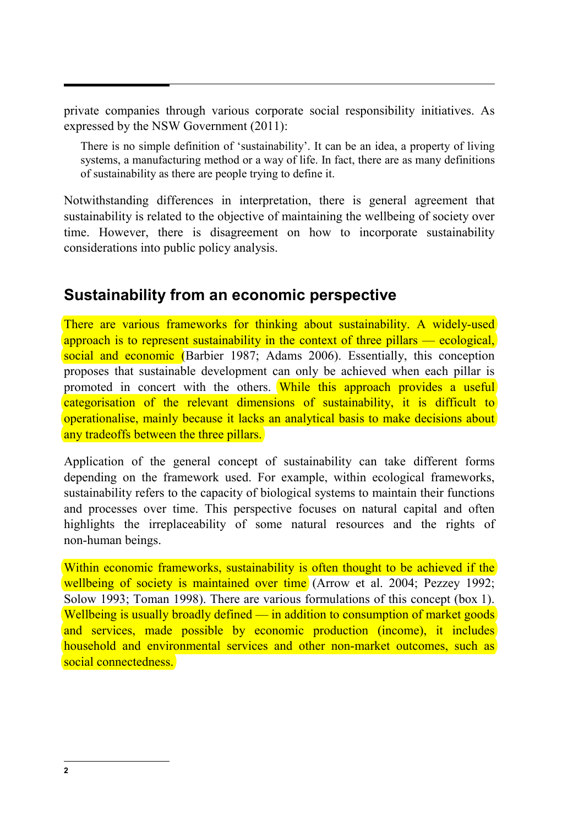private companies through various corporate social responsibility initiatives. As expressed by the NSW Government (2011):

There is no simple definition of 'sustainability'. It can be an idea, a property of living systems, a manufacturing method or a way of life. In fact, there are as many definitions of sustainability as there are people trying to define it.

Notwithstanding differences in interpretation, there is general agreement that sustainability is related to the objective of maintaining the wellbeing of society over time. However, there is disagreement on how to incorporate sustainability considerations into public policy analysis.

## **Sustainability from an economic perspective**

There are various frameworks for thinking about sustainability. A widely-used approach is to represent sustainability in the context of three pillars — ecological, social and economic (Barbier 1987; Adams 2006). Essentially, this conception proposes that sustainable development can only be achieved when each pillar is promoted in concert with the others. While this approach provides a useful categorisation of the relevant dimensions of sustainability, it is difficult to operationalise, mainly because it lacks an analytical basis to make decisions about any tradeoffs between the three pillars.

Application of the general concept of sustainability can take different forms depending on the framework used. For example, within ecological frameworks, sustainability refers to the capacity of biological systems to maintain their functions and processes over time. This perspective focuses on natural capital and often highlights the irreplaceability of some natural resources and the rights of non-human beings.

Within economic frameworks, sustainability is often thought to be achieved if the wellbeing of society is maintained over time (Arrow et al. 2004; Pezzey 1992; Solow 1993; Toman 1998). There are various formulations of this concept (box 1). Wellbeing is usually broadly defined — in addition to consumption of market goods and services, made possible by economic production (income), it includes household and environmental services and other non-market outcomes, such as social connectedness.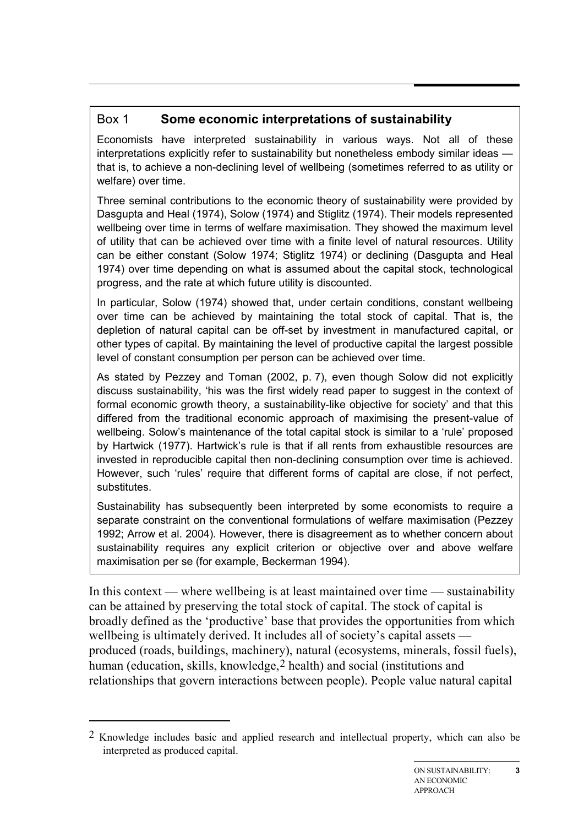## Box 1 **Some economic interpretations of sustainability**

Economists have interpreted sustainability in various ways. Not all of these interpretations explicitly refer to sustainability but nonetheless embody similar ideas that is, to achieve a non-declining level of wellbeing (sometimes referred to as utility or welfare) over time.

Three seminal contributions to the economic theory of sustainability were provided by Dasgupta and Heal (1974), Solow (1974) and Stiglitz (1974). Their models represented wellbeing over time in terms of welfare maximisation. They showed the maximum level of utility that can be achieved over time with a finite level of natural resources. Utility can be either constant (Solow 1974; Stiglitz 1974) or declining (Dasgupta and Heal 1974) over time depending on what is assumed about the capital stock, technological progress, and the rate at which future utility is discounted.

In particular, Solow (1974) showed that, under certain conditions, constant wellbeing over time can be achieved by maintaining the total stock of capital. That is, the depletion of natural capital can be off-set by investment in manufactured capital, or other types of capital. By maintaining the level of productive capital the largest possible level of constant consumption per person can be achieved over time.

As stated by Pezzey and Toman (2002, p. 7), even though Solow did not explicitly discuss sustainability, 'his was the first widely read paper to suggest in the context of formal economic growth theory, a sustainability-like objective for society' and that this differed from the traditional economic approach of maximising the present-value of wellbeing. Solow's maintenance of the total capital stock is similar to a 'rule' proposed by Hartwick (1977). Hartwick's rule is that if all rents from exhaustible resources are invested in reproducible capital then non-declining consumption over time is achieved. However, such 'rules' require that different forms of capital are close, if not perfect, substitutes.

Sustainability has subsequently been interpreted by some economists to require a separate constraint on the conventional formulations of welfare maximisation (Pezzey 1992; Arrow et al. 2004). However, there is disagreement as to whether concern about sustainability requires any explicit criterion or objective over and above welfare maximisation per se (for example, Beckerman 1994).

In this context — where wellbeing is at least maintained over time — sustainability can be attained by preserving the total stock of capital. The stock of capital is broadly defined as the 'productive' base that provides the opportunities from which wellbeing is ultimately derived. It includes all of society's capital assets produced (roads, buildings, machinery), natural (ecosystems, minerals, fossil fuels), human (education, skills, knowledge, [2](#page-4-0) health) and social (institutions and relationships that govern interactions between people). People value natural capital

-

<span id="page-4-0"></span><sup>2</sup> Knowledge includes basic and applied research and intellectual property, which can also be interpreted as produced capital.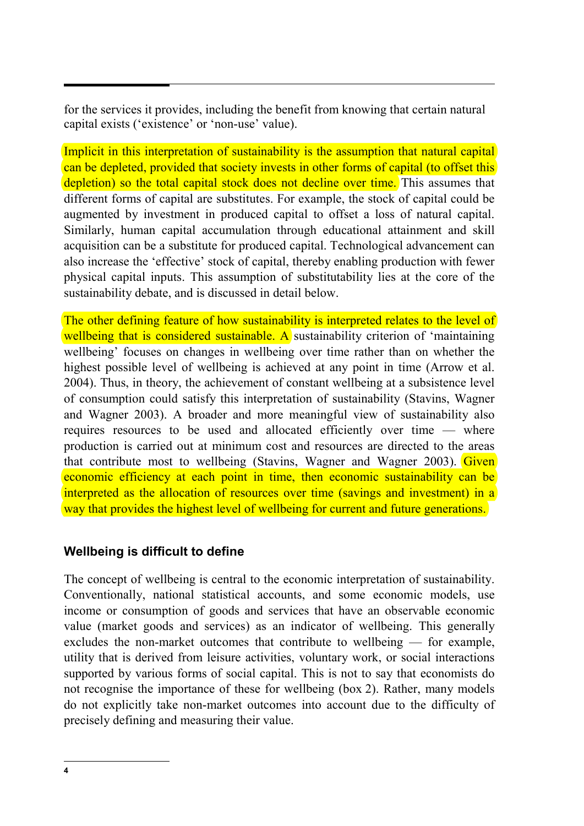for the services it provides, including the benefit from knowing that certain natural capital exists ('existence' or 'non-use' value).

Implicit in this interpretation of sustainability is the assumption that natural capital can be depleted, provided that society invests in other forms of capital (to offset this depletion) so the total capital stock does not decline over time. This assumes that different forms of capital are substitutes. For example, the stock of capital could be augmented by investment in produced capital to offset a loss of natural capital. Similarly, human capital accumulation through educational attainment and skill acquisition can be a substitute for produced capital. Technological advancement can also increase the 'effective' stock of capital, thereby enabling production with fewer physical capital inputs. This assumption of substitutability lies at the core of the sustainability debate, and is discussed in detail below.

The other defining feature of how sustainability is interpreted relates to the level of wellbeing that is considered sustainable. A sustainability criterion of 'maintaining wellbeing' focuses on changes in wellbeing over time rather than on whether the highest possible level of wellbeing is achieved at any point in time (Arrow et al. 2004). Thus, in theory, the achievement of constant wellbeing at a subsistence level of consumption could satisfy this interpretation of sustainability (Stavins, Wagner and Wagner 2003). A broader and more meaningful view of sustainability also requires resources to be used and allocated efficiently over time — where production is carried out at minimum cost and resources are directed to the areas that contribute most to wellbeing (Stavins, Wagner and Wagner 2003). Given economic efficiency at each point in time, then economic sustainability can be interpreted as the allocation of resources over time (savings and investment) in a way that provides the highest level of wellbeing for current and future generations.

#### **Wellbeing is difficult to define**

The concept of wellbeing is central to the economic interpretation of sustainability. Conventionally, national statistical accounts, and some economic models, use income or consumption of goods and services that have an observable economic value (market goods and services) as an indicator of wellbeing. This generally excludes the non-market outcomes that contribute to wellbeing — for example, utility that is derived from leisure activities, voluntary work, or social interactions supported by various forms of social capital. This is not to say that economists do not recognise the importance of these for wellbeing (box 2). Rather, many models do not explicitly take non-market outcomes into account due to the difficulty of precisely defining and measuring their value.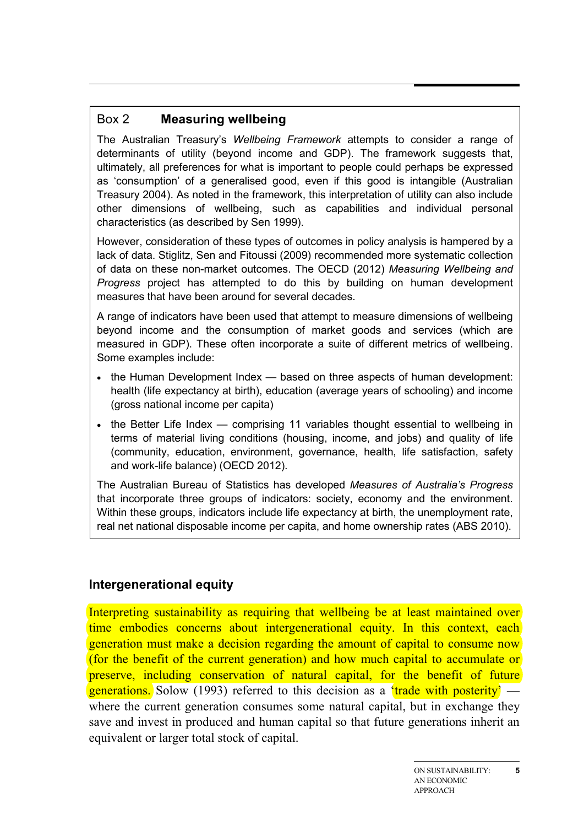#### Box 2 **Measuring wellbeing**

The Australian Treasury's *Wellbeing Framework* attempts to consider a range of determinants of utility (beyond income and GDP). The framework suggests that, ultimately, all preferences for what is important to people could perhaps be expressed as 'consumption' of a generalised good, even if this good is intangible (Australian Treasury 2004). As noted in the framework, this interpretation of utility can also include other dimensions of wellbeing, such as capabilities and individual personal characteristics (as described by Sen 1999).

However, consideration of these types of outcomes in policy analysis is hampered by a lack of data. Stiglitz, Sen and Fitoussi (2009) recommended more systematic collection of data on these non-market outcomes. The OECD (2012) *Measuring Wellbeing and Progress* project has attempted to do this by building on human development measures that have been around for several decades.

A range of indicators have been used that attempt to measure dimensions of wellbeing beyond income and the consumption of market goods and services (which are measured in GDP). These often incorporate a suite of different metrics of wellbeing. Some examples include:

- the Human Development Index based on three aspects of human development: health (life expectancy at birth), education (average years of schooling) and income (gross national income per capita)
- the Better Life Index comprising 11 variables thought essential to wellbeing in terms of material living conditions (housing, income, and jobs) and quality of life (community, education, environment, governance, health, life satisfaction, safety and work-life balance) (OECD 2012).

The Australian Bureau of Statistics has developed *Measures of Australia's Progress* that incorporate three groups of indicators: society, economy and the environment. Within these groups, indicators include life expectancy at birth, the unemployment rate, real net national disposable income per capita, and home ownership rates (ABS 2010).

## **Intergenerational equity**

Interpreting sustainability as requiring that wellbeing be at least maintained over time embodies concerns about intergenerational equity. In this context, each generation must make a decision regarding the amount of capital to consume now (for the benefit of the current generation) and how much capital to accumulate or preserve, including conservation of natural capital, for the benefit of future **generations.** Solow (1993) referred to this decision as a 'trade with posterity' where the current generation consumes some natural capital, but in exchange they save and invest in produced and human capital so that future generations inherit an equivalent or larger total stock of capital.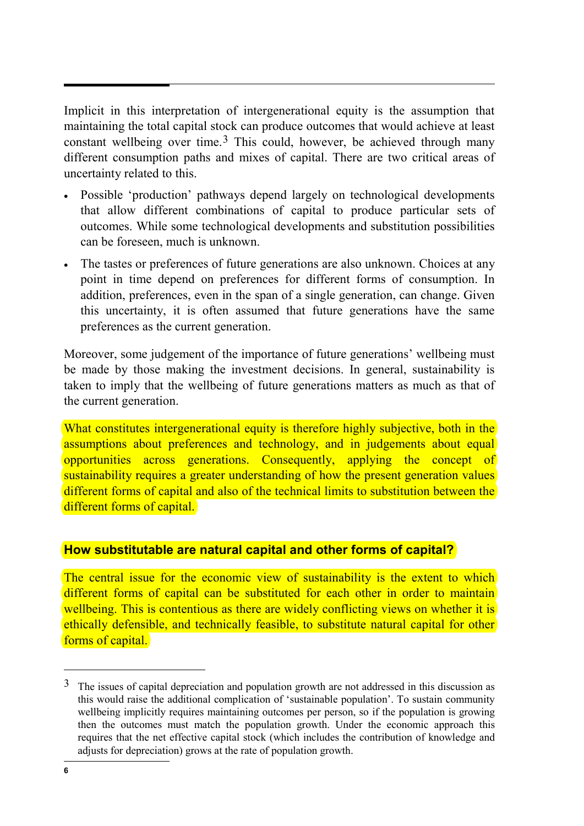<span id="page-7-0"></span>Implicit in this interpretation of intergenerational equity is the assumption that maintaining the total capital stock can produce outcomes that would achieve at least constant wellbeing over time.<sup>[3](#page-7-0)</sup> This could, however, be achieved through many different consumption paths and mixes of capital. There are two critical areas of uncertainty related to this.

- Possible 'production' pathways depend largely on technological developments that allow different combinations of capital to produce particular sets of outcomes. While some technological developments and substitution possibilities can be foreseen, much is unknown.
- The tastes or preferences of future generations are also unknown. Choices at any point in time depend on preferences for different forms of consumption. In addition, preferences, even in the span of a single generation, can change. Given this uncertainty, it is often assumed that future generations have the same preferences as the current generation.

Moreover, some judgement of the importance of future generations' wellbeing must be made by those making the investment decisions. In general, sustainability is taken to imply that the wellbeing of future generations matters as much as that of the current generation.

What constitutes intergenerational equity is therefore highly subjective, both in the assumptions about preferences and technology, and in judgements about equal opportunities across generations. Consequently, applying the concept of sustainability requires a greater understanding of how the present generation values different forms of capital and also of the technical limits to substitution between the different forms of capital.

#### **How substitutable are natural capital and other forms of capital?**

The central issue for the economic view of sustainability is the extent to which different forms of capital can be substituted for each other in order to maintain wellbeing. This is contentious as there are widely conflicting views on whether it is ethically defensible, and technically feasible, to substitute natural capital for other forms of capital.

 $\overline{a}$ 

<sup>&</sup>lt;sup>3</sup> The issues of capital depreciation and population growth are not addressed in this discussion as this would raise the additional complication of 'sustainable population'. To sustain community wellbeing implicitly requires maintaining outcomes per person, so if the population is growing then the outcomes must match the population growth. Under the economic approach this requires that the net effective capital stock (which includes the contribution of knowledge and adjusts for depreciation) grows at the rate of population growth.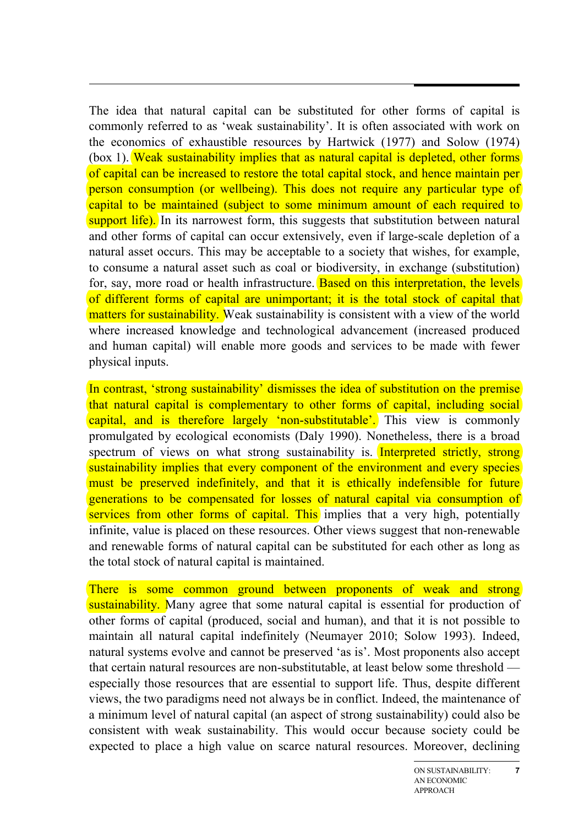The idea that natural capital can be substituted for other forms of capital is commonly referred to as 'weak sustainability'. It is often associated with work on the economics of exhaustible resources by Hartwick (1977) and Solow (1974) (box 1). Weak sustainability implies that as natural capital is depleted, other forms of capital can be increased to restore the total capital stock, and hence maintain per person consumption (or wellbeing). This does not require any particular type of capital to be maintained (subject to some minimum amount of each required to support life). In its narrowest form, this suggests that substitution between natural and other forms of capital can occur extensively, even if large-scale depletion of a natural asset occurs. This may be acceptable to a society that wishes, for example, to consume a natural asset such as coal or biodiversity, in exchange (substitution) for, say, more road or health infrastructure. Based on this interpretation, the levels of different forms of capital are unimportant; it is the total stock of capital that matters for sustainability. Weak sustainability is consistent with a view of the world where increased knowledge and technological advancement (increased produced and human capital) will enable more goods and services to be made with fewer physical inputs.

In contrast, 'strong sustainability' dismisses the idea of substitution on the premise that natural capital is complementary to other forms of capital, including social capital, and is therefore largely 'non-substitutable'. This view is commonly promulgated by ecological economists (Daly 1990). Nonetheless, there is a broad spectrum of views on what strong sustainability is. Interpreted strictly, strong sustainability implies that every component of the environment and every species must be preserved indefinitely, and that it is ethically indefensible for future generations to be compensated for losses of natural capital via consumption of services from other forms of capital. This implies that a very high, potentially infinite, value is placed on these resources. Other views suggest that non-renewable and renewable forms of natural capital can be substituted for each other as long as the total stock of natural capital is maintained.

There is some common ground between proponents of weak and strong sustainability. Many agree that some natural capital is essential for production of other forms of capital (produced, social and human), and that it is not possible to maintain all natural capital indefinitely (Neumayer 2010; Solow 1993). Indeed, natural systems evolve and cannot be preserved 'as is'. Most proponents also accept that certain natural resources are non-substitutable, at least below some threshold especially those resources that are essential to support life. Thus, despite different views, the two paradigms need not always be in conflict. Indeed, the maintenance of a minimum level of natural capital (an aspect of strong sustainability) could also be consistent with weak sustainability. This would occur because society could be expected to place a high value on scarce natural resources. Moreover, declining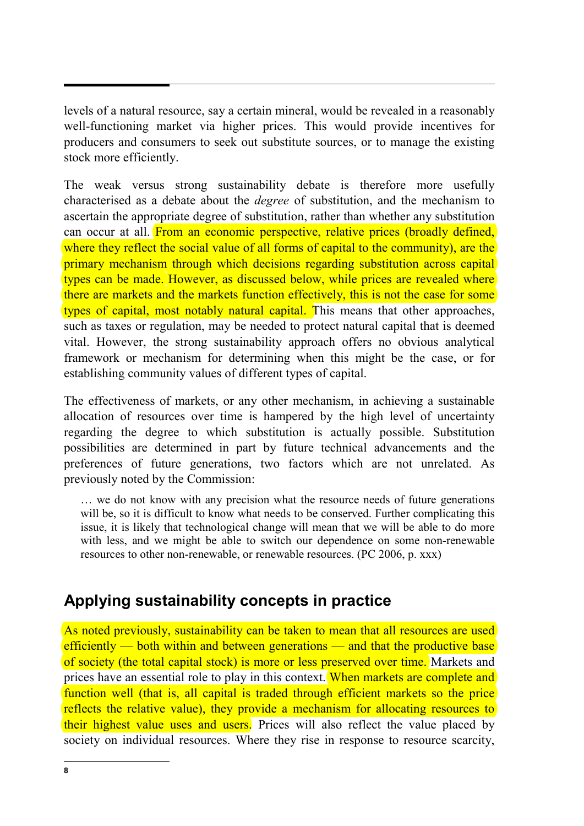levels of a natural resource, say a certain mineral, would be revealed in a reasonably well-functioning market via higher prices. This would provide incentives for producers and consumers to seek out substitute sources, or to manage the existing stock more efficiently.

The weak versus strong sustainability debate is therefore more usefully characterised as a debate about the *degree* of substitution, and the mechanism to ascertain the appropriate degree of substitution, rather than whether any substitution can occur at all. From an economic perspective, relative prices (broadly defined, where they reflect the social value of all forms of capital to the community), are the primary mechanism through which decisions regarding substitution across capital types can be made. However, as discussed below, while prices are revealed where there are markets and the markets function effectively, this is not the case for some types of capital, most notably natural capital. This means that other approaches, such as taxes or regulation, may be needed to protect natural capital that is deemed vital. However, the strong sustainability approach offers no obvious analytical framework or mechanism for determining when this might be the case, or for establishing community values of different types of capital.

The effectiveness of markets, or any other mechanism, in achieving a sustainable allocation of resources over time is hampered by the high level of uncertainty regarding the degree to which substitution is actually possible. Substitution possibilities are determined in part by future technical advancements and the preferences of future generations, two factors which are not unrelated. As previously noted by the Commission:

… we do not know with any precision what the resource needs of future generations will be, so it is difficult to know what needs to be conserved. Further complicating this issue, it is likely that technological change will mean that we will be able to do more with less, and we might be able to switch our dependence on some non-renewable resources to other non-renewable, or renewable resources. (PC 2006, p. xxx)

## **Applying sustainability concepts in practice**

As noted previously, sustainability can be taken to mean that all resources are used efficiently — both within and between generations — and that the productive base of society (the total capital stock) is more or less preserved over time. Markets and prices have an essential role to play in this context. When markets are complete and function well (that is, all capital is traded through efficient markets so the price reflects the relative value), they provide a mechanism for allocating resources to their highest value uses and users. Prices will also reflect the value placed by society on individual resources. Where they rise in response to resource scarcity,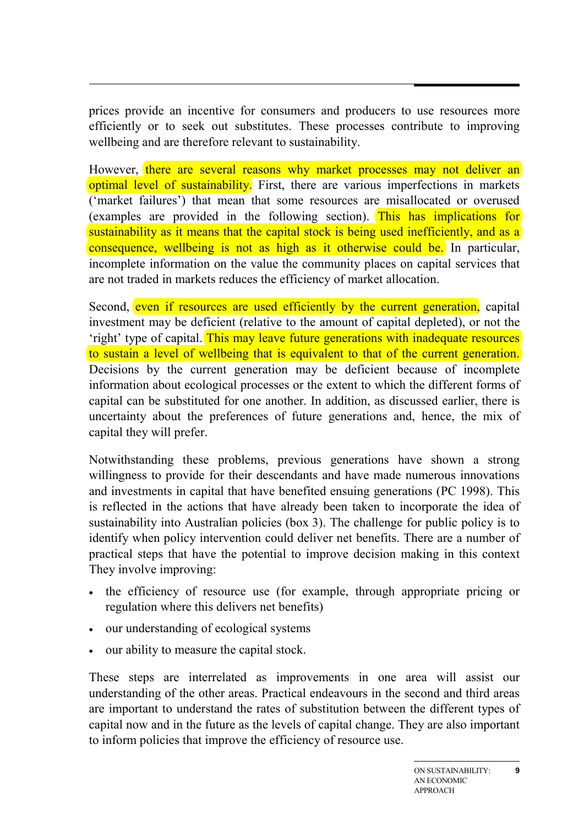prices provide an incentive for consumers and producers to use resources more efficiently or to seek out substitutes. These processes contribute to improving wellbeing and are therefore relevant to sustainability.

However, there are several reasons why market processes may not deliver an optimal level of sustainability. First, there are various imperfections in markets ('market failures') that mean that some resources are misallocated or overused (examples are provided in the following section). This has implications for sustainability as it means that the capital stock is being used inefficiently, and as a consequence, wellbeing is not as high as it otherwise could be. In particular, incomplete information on the value the community places on capital services that are not traded in markets reduces the efficiency of market allocation.

Second, even if resources are used efficiently by the current generation, capital investment may be deficient (relative to the amount of capital depleted), or not the 'right' type of capital. This may leave future generations with inadequate resources to sustain a level of wellbeing that is equivalent to that of the current generation. Decisions by the current generation may be deficient because of incomplete information about ecological processes or the extent to which the different forms of capital can be substituted for one another. In addition, as discussed earlier, there is uncertainty about the preferences of future generations and, hence, the mix of capital they will prefer.

Notwithstanding these problems, previous generations have shown a strong willingness to provide for their descendants and have made numerous innovations and investments in capital that have benefited ensuing generations (PC 1998). This is reflected in the actions that have already been taken to incorporate the idea of sustainability into Australian policies (box 3). The challenge for public policy is to identify when policy intervention could deliver net benefits. There are a number of practical steps that have the potential to improve decision making in this context They involve improving:

- the efficiency of resource use (for example, through appropriate pricing or regulation where this delivers net benefits)
- our understanding of ecological systems
- our ability to measure the capital stock.

These steps are interrelated as improvements in one area will assist our understanding of the other areas. Practical endeavours in the second and third areas are important to understand the rates of substitution between the different types of capital now and in the future as the levels of capital change. They are also important to inform policies that improve the efficiency of resource use.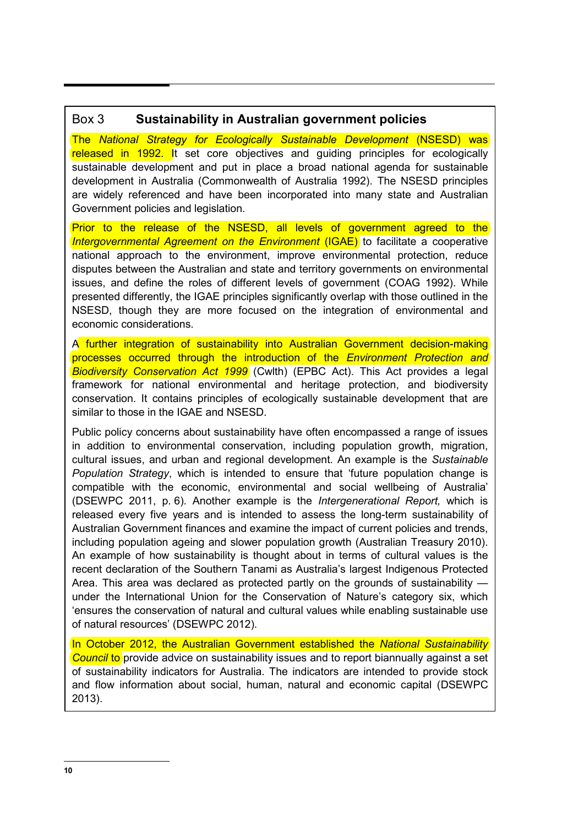#### Box 3 **Sustainability in Australian government policies**

The *National Strategy for Ecologically Sustainable Development* (NSESD) was released in 1992. It set core objectives and guiding principles for ecologically sustainable development and put in place a broad national agenda for sustainable development in Australia (Commonwealth of Australia 1992). The NSESD principles are widely referenced and have been incorporated into many state and Australian Government policies and legislation.

Prior to the release of the NSESD, all levels of government agreed to the *Intergovernmental Agreement on the Environment* (IGAE) to facilitate a cooperative national approach to the environment, improve environmental protection, reduce disputes between the Australian and state and territory governments on environmental issues, and define the roles of different levels of government (COAG 1992). While presented differently, the IGAE principles significantly overlap with those outlined in the NSESD, though they are more focused on the integration of environmental and economic considerations.

A further integration of sustainability into Australian Government decision-making processes occurred through the introduction of the *Environment Protection and Biodiversity Conservation Act 1999* (Cwlth) (EPBC Act). This Act provides a legal framework for national environmental and heritage protection, and biodiversity conservation. It contains principles of ecologically sustainable development that are similar to those in the IGAE and NSESD.

Public policy concerns about sustainability have often encompassed a range of issues in addition to environmental conservation, including population growth, migration, cultural issues, and urban and regional development. An example is the *Sustainable Population Strategy*, which is intended to ensure that 'future population change is compatible with the economic, environmental and social wellbeing of Australia' (DSEWPC 2011, p. 6). Another example is the *Intergenerational Report,* which is released every five years and is intended to assess the long-term sustainability of Australian Government finances and examine the impact of current policies and trends, including population ageing and slower population growth (Australian Treasury 2010). An example of how sustainability is thought about in terms of cultural values is the recent declaration of the Southern Tanami as Australia's largest Indigenous Protected Area. This area was declared as protected partly on the grounds of sustainability under the International Union for the Conservation of Nature's category six, which 'ensures the conservation of natural and cultural values while enabling sustainable use of natural resources' (DSEWPC 2012).

In October 2012, the Australian Government established the *National Sustainability Council* to provide advice on sustainability issues and to report biannually against a set of sustainability indicators for Australia. The indicators are intended to provide stock and flow information about social, human, natural and economic capital (DSEWPC 2013).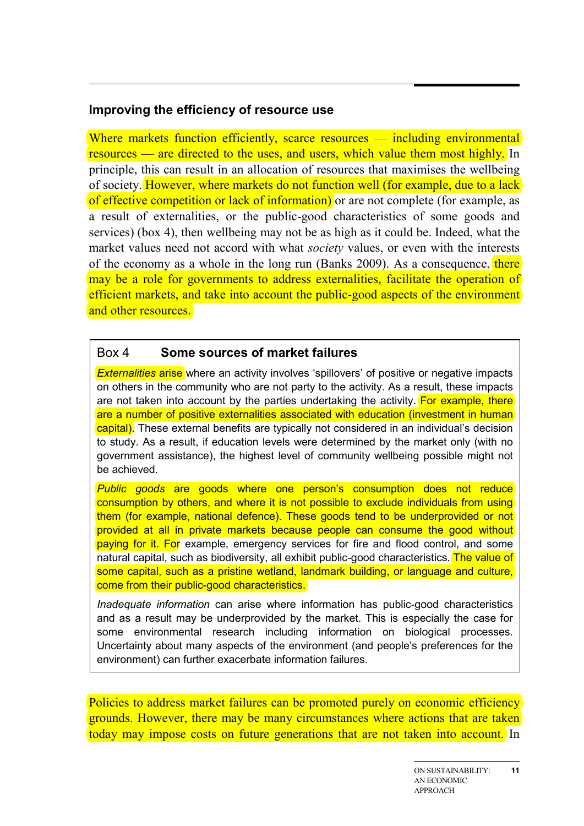#### **Improving the efficiency of resource use**

Where markets function efficiently, scarce resources — including environmental resources — are directed to the uses, and users, which value them most highly. In principle, this can result in an allocation of resources that maximises the wellbeing of society. However, where markets do not function well (for example, due to a lack of effective competition or lack of information) or are not complete (for example, as a result of externalities, or the public-good characteristics of some goods and services) (box 4), then wellbeing may not be as high as it could be. Indeed, what the market values need not accord with what *society* values, or even with the interests of the economy as a whole in the long run (Banks 2009). As a consequence, there may be a role for governments to address externalities, facilitate the operation of efficient markets, and take into account the public-good aspects of the environment and other resources.

#### Box 4 **Some sources of market failures**

*Externalities* arise where an activity involves 'spillovers' of positive or negative impacts on others in the community who are not party to the activity. As a result, these impacts are not taken into account by the parties undertaking the activity. For example, there are a number of positive externalities associated with education (investment in human capital). These external benefits are typically not considered in an individual's decision to study. As a result, if education levels were determined by the market only (with no government assistance), the highest level of community wellbeing possible might not be achieved.

*Public goods* are goods where one person's consumption does not reduce consumption by others, and where it is not possible to exclude individuals from using them (for example, national defence). These goods tend to be underprovided or not provided at all in private markets because people can consume the good without paying for it. For example, emergency services for fire and flood control, and some natural capital, such as biodiversity, all exhibit public-good characteristics. The value of some capital, such as a pristine wetland, landmark building, or language and culture, come from their public-good characteristics.

*Inadequate information* can arise where information has public-good characteristics and as a result may be underprovided by the market. This is especially the case for some environmental research including information on biological processes. Uncertainty about many aspects of the environment (and people's preferences for the environment) can further exacerbate information failures.

Policies to address market failures can be promoted purely on economic efficiency grounds. However, there may be many circumstances where actions that are taken today may impose costs on future generations that are not taken into account. In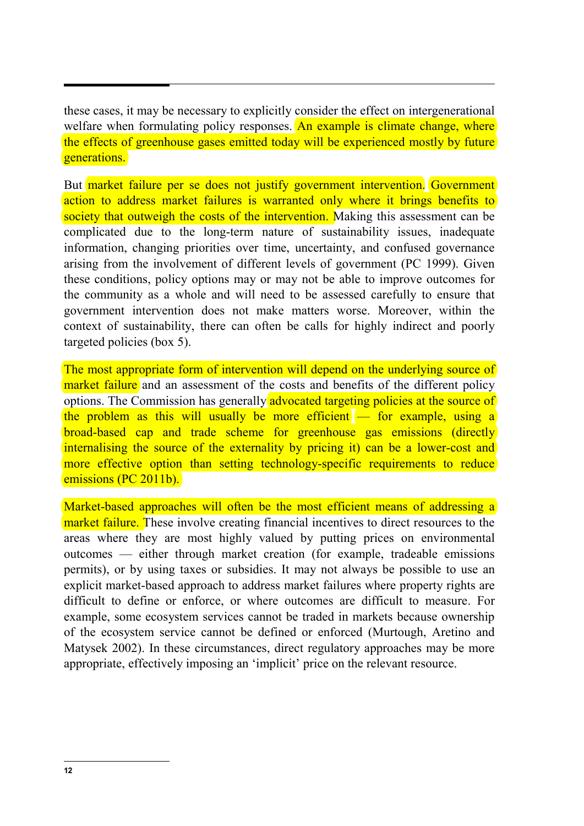these cases, it may be necessary to explicitly consider the effect on intergenerational welfare when formulating policy responses. An example is climate change, where the effects of greenhouse gases emitted today will be experienced mostly by future generations.

But market failure per se does not justify government intervention. Government action to address market failures is warranted only where it brings benefits to society that outweigh the costs of the intervention. Making this assessment can be complicated due to the long-term nature of sustainability issues, inadequate information, changing priorities over time, uncertainty, and confused governance arising from the involvement of different levels of government (PC 1999). Given these conditions, policy options may or may not be able to improve outcomes for the community as a whole and will need to be assessed carefully to ensure that government intervention does not make matters worse. Moreover, within the context of sustainability, there can often be calls for highly indirect and poorly targeted policies (box 5).

The most appropriate form of intervention will depend on the underlying source of market failure and an assessment of the costs and benefits of the different policy options. The Commission has generally advocated targeting policies at the source of the problem as this will usually be more efficient  $\sim$  for example, using a broad-based cap and trade scheme for greenhouse gas emissions (directly internalising the source of the externality by pricing it) can be a lower-cost and more effective option than setting technology-specific requirements to reduce emissions (PC 2011b).

Market-based approaches will often be the most efficient means of addressing a market failure. These involve creating financial incentives to direct resources to the areas where they are most highly valued by putting prices on environmental outcomes — either through market creation (for example, tradeable emissions permits), or by using taxes or subsidies. It may not always be possible to use an explicit market-based approach to address market failures where property rights are difficult to define or enforce, or where outcomes are difficult to measure. For example, some ecosystem services cannot be traded in markets because ownership of the ecosystem service cannot be defined or enforced (Murtough, Aretino and Matysek 2002). In these circumstances, direct regulatory approaches may be more appropriate, effectively imposing an 'implicit' price on the relevant resource.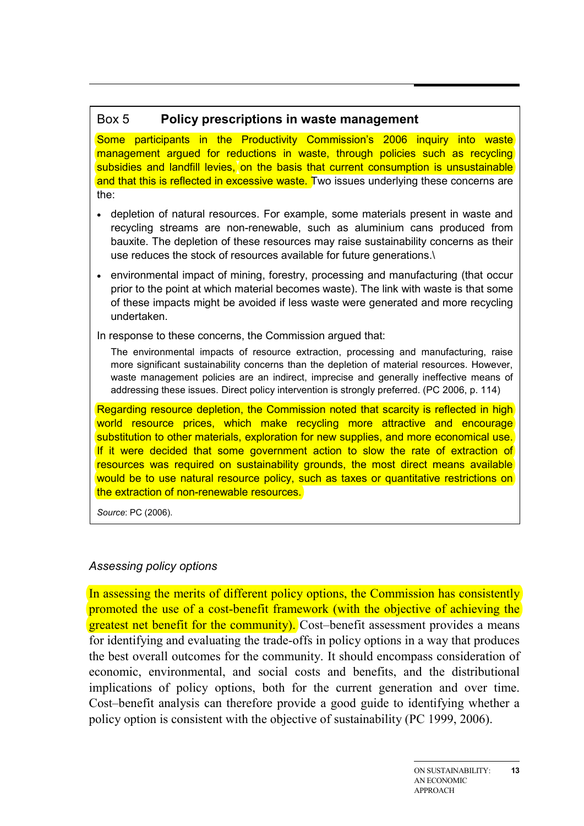#### Box 5 **Policy prescriptions in waste management**

Some participants in the Productivity Commission's 2006 inquiry into waste management argued for reductions in waste, through policies such as recycling subsidies and landfill levies, on the basis that current consumption is unsustainable and that this is reflected in excessive waste. Two issues underlying these concerns are the:

- depletion of natural resources. For example, some materials present in waste and recycling streams are non-renewable, such as aluminium cans produced from bauxite. The depletion of these resources may raise sustainability concerns as their use reduces the stock of resources available for future generations.\
- environmental impact of mining, forestry, processing and manufacturing (that occur prior to the point at which material becomes waste). The link with waste is that some of these impacts might be avoided if less waste were generated and more recycling undertaken.

In response to these concerns, the Commission argued that:

The environmental impacts of resource extraction, processing and manufacturing, raise more significant sustainability concerns than the depletion of material resources. However, waste management policies are an indirect, imprecise and generally ineffective means of addressing these issues. Direct policy intervention is strongly preferred. (PC 2006, p. 114)

Regarding resource depletion, the Commission noted that scarcity is reflected in high world resource prices, which make recycling more attractive and encourage substitution to other materials, exploration for new supplies, and more economical use. If it were decided that some government action to slow the rate of extraction of resources was required on sustainability grounds, the most direct means available would be to use natural resource policy, such as taxes or quantitative restrictions on the extraction of non-renewable resources.

*Source*: PC (2006).

#### *Assessing policy options*

In assessing the merits of different policy options, the Commission has consistently promoted the use of a cost-benefit framework (with the objective of achieving the greatest net benefit for the community). Cost–benefit assessment provides a means for identifying and evaluating the trade-offs in policy options in a way that produces the best overall outcomes for the community. It should encompass consideration of economic, environmental, and social costs and benefits, and the distributional implications of policy options, both for the current generation and over time. Cost–benefit analysis can therefore provide a good guide to identifying whether a policy option is consistent with the objective of sustainability (PC 1999, 2006).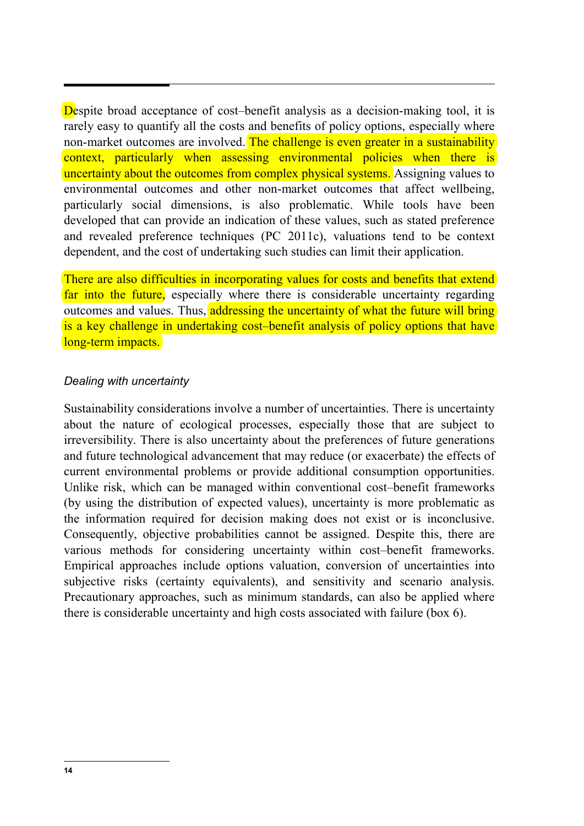Despite broad acceptance of cost–benefit analysis as a decision-making tool, it is rarely easy to quantify all the costs and benefits of policy options, especially where non-market outcomes are involved. The challenge is even greater in a sustainability context, particularly when assessing environmental policies when there is uncertainty about the outcomes from complex physical systems. Assigning values to environmental outcomes and other non-market outcomes that affect wellbeing, particularly social dimensions, is also problematic. While tools have been developed that can provide an indication of these values, such as stated preference and revealed preference techniques (PC 2011c), valuations tend to be context dependent, and the cost of undertaking such studies can limit their application.

There are also difficulties in incorporating values for costs and benefits that extend far into the future, especially where there is considerable uncertainty regarding outcomes and values. Thus, addressing the uncertainty of what the future will bring is a key challenge in undertaking cost–benefit analysis of policy options that have long-term impacts.

#### *Dealing with uncertainty*

Sustainability considerations involve a number of uncertainties. There is uncertainty about the nature of ecological processes, especially those that are subject to irreversibility. There is also uncertainty about the preferences of future generations and future technological advancement that may reduce (or exacerbate) the effects of current environmental problems or provide additional consumption opportunities. Unlike risk, which can be managed within conventional cost–benefit frameworks (by using the distribution of expected values), uncertainty is more problematic as the information required for decision making does not exist or is inconclusive. Consequently, objective probabilities cannot be assigned. Despite this, there are various methods for considering uncertainty within cost–benefit frameworks. Empirical approaches include options valuation, conversion of uncertainties into subjective risks (certainty equivalents), and sensitivity and scenario analysis. Precautionary approaches, such as minimum standards, can also be applied where there is considerable uncertainty and high costs associated with failure (box 6).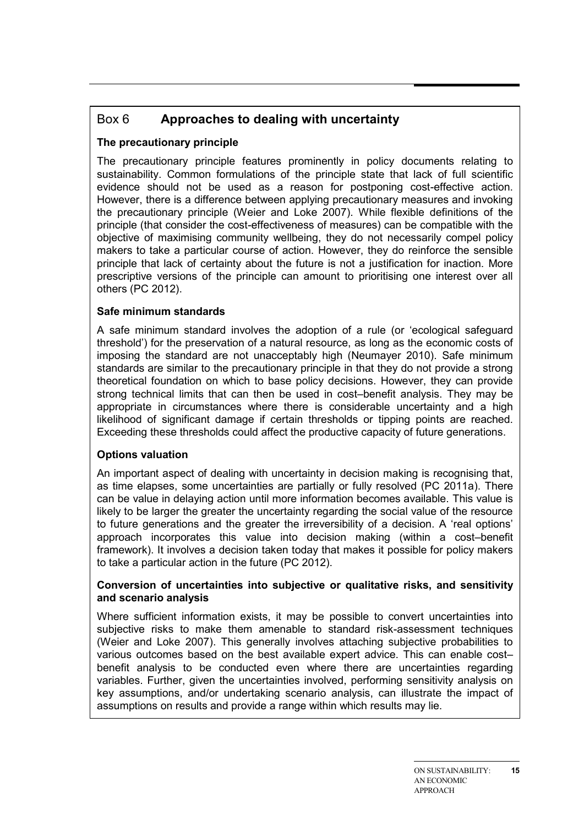## Box 6 **Approaches to dealing with uncertainty**

#### **The precautionary principle**

The precautionary principle features prominently in policy documents relating to sustainability. Common formulations of the principle state that lack of full scientific evidence should not be used as a reason for postponing cost-effective action. However, there is a difference between applying precautionary measures and invoking the precautionary principle (Weier and Loke 2007). While flexible definitions of the principle (that consider the cost-effectiveness of measures) can be compatible with the objective of maximising community wellbeing, they do not necessarily compel policy makers to take a particular course of action. However, they do reinforce the sensible principle that lack of certainty about the future is not a justification for inaction. More prescriptive versions of the principle can amount to prioritising one interest over all others (PC 2012).

#### **Safe minimum standards**

A safe minimum standard involves the adoption of a rule (or 'ecological safeguard threshold') for the preservation of a natural resource, as long as the economic costs of imposing the standard are not unacceptably high (Neumayer 2010). Safe minimum standards are similar to the precautionary principle in that they do not provide a strong theoretical foundation on which to base policy decisions. However, they can provide strong technical limits that can then be used in cost–benefit analysis. They may be appropriate in circumstances where there is considerable uncertainty and a high likelihood of significant damage if certain thresholds or tipping points are reached. Exceeding these thresholds could affect the productive capacity of future generations.

#### **Options valuation**

An important aspect of dealing with uncertainty in decision making is recognising that, as time elapses, some uncertainties are partially or fully resolved (PC 2011a). There can be value in delaying action until more information becomes available. This value is likely to be larger the greater the uncertainty regarding the social value of the resource to future generations and the greater the irreversibility of a decision. A 'real options' approach incorporates this value into decision making (within a cost–benefit framework). It involves a decision taken today that makes it possible for policy makers to take a particular action in the future (PC 2012).

#### **Conversion of uncertainties into subjective or qualitative risks, and sensitivity and scenario analysis**

Where sufficient information exists, it may be possible to convert uncertainties into subjective risks to make them amenable to standard risk-assessment techniques (Weier and Loke 2007). This generally involves attaching subjective probabilities to various outcomes based on the best available expert advice. This can enable cost– benefit analysis to be conducted even where there are uncertainties regarding variables. Further, given the uncertainties involved, performing sensitivity analysis on key assumptions, and/or undertaking scenario analysis, can illustrate the impact of assumptions on results and provide a range within which results may lie.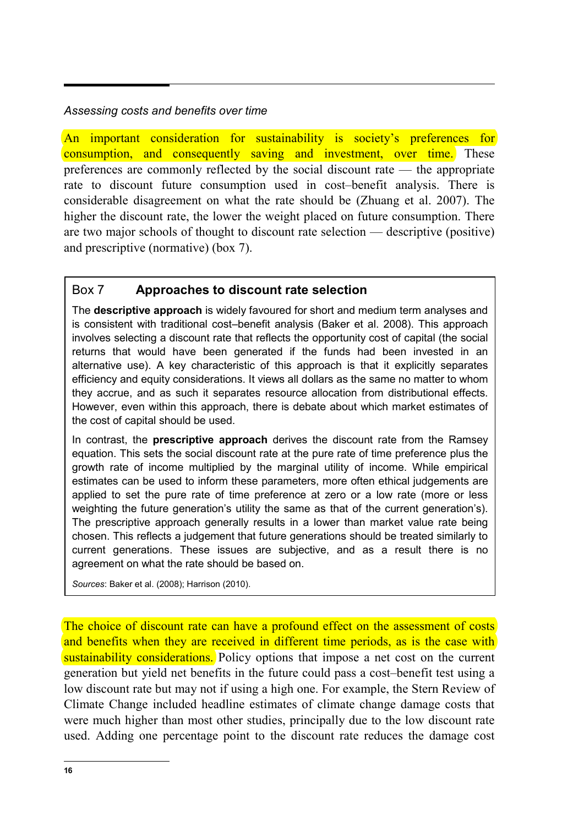#### *Assessing costs and benefits over time*

An important consideration for sustainability is society's preferences for consumption, and consequently saving and investment, over time. These preferences are commonly reflected by the social discount rate — the appropriate rate to discount future consumption used in cost–benefit analysis. There is considerable disagreement on what the rate should be (Zhuang et al. 2007). The higher the discount rate, the lower the weight placed on future consumption. There are two major schools of thought to discount rate selection — descriptive (positive) and prescriptive (normative) (box 7).

#### Box 7 **Approaches to discount rate selection**

The **descriptive approach** is widely favoured for short and medium term analyses and is consistent with traditional cost–benefit analysis (Baker et al. 2008). This approach involves selecting a discount rate that reflects the opportunity cost of capital (the social returns that would have been generated if the funds had been invested in an alternative use). A key characteristic of this approach is that it explicitly separates efficiency and equity considerations. It views all dollars as the same no matter to whom they accrue, and as such it separates resource allocation from distributional effects. However, even within this approach, there is debate about which market estimates of the cost of capital should be used.

In contrast, the **prescriptive approach** derives the discount rate from the Ramsey equation. This sets the social discount rate at the pure rate of time preference plus the growth rate of income multiplied by the marginal utility of income. While empirical estimates can be used to inform these parameters, more often ethical judgements are applied to set the pure rate of time preference at zero or a low rate (more or less weighting the future generation's utility the same as that of the current generation's). The prescriptive approach generally results in a lower than market value rate being chosen. This reflects a judgement that future generations should be treated similarly to current generations. These issues are subjective, and as a result there is no agreement on what the rate should be based on.

*Sources*: Baker et al. (2008); Harrison (2010).

The choice of discount rate can have a profound effect on the assessment of costs and benefits when they are received in different time periods, as is the case with sustainability considerations. Policy options that impose a net cost on the current generation but yield net benefits in the future could pass a cost–benefit test using a low discount rate but may not if using a high one. For example, the Stern Review of Climate Change included headline estimates of climate change damage costs that were much higher than most other studies, principally due to the low discount rate used. Adding one percentage point to the discount rate reduces the damage cost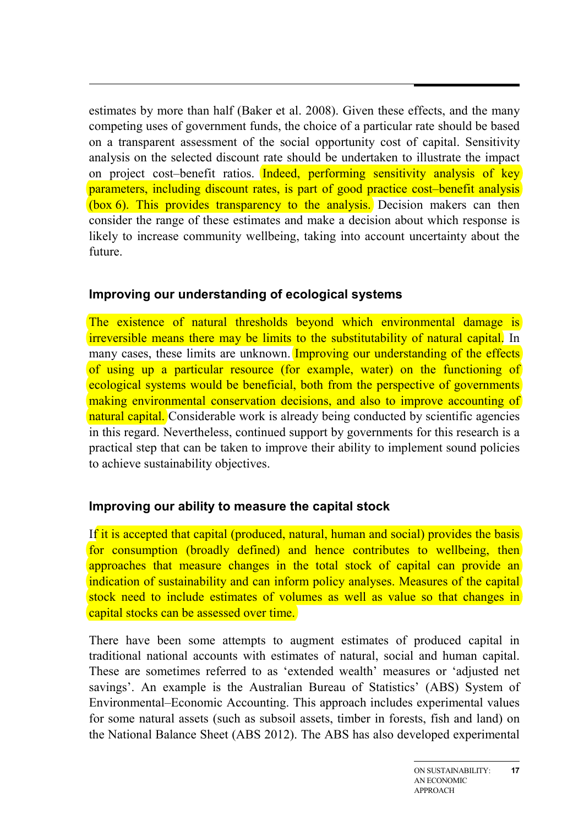estimates by more than half (Baker et al. 2008). Given these effects, and the many competing uses of government funds, the choice of a particular rate should be based on a transparent assessment of the social opportunity cost of capital. Sensitivity analysis on the selected discount rate should be undertaken to illustrate the impact on project cost–benefit ratios. Indeed, performing sensitivity analysis of key parameters, including discount rates, is part of good practice cost–benefit analysis (box 6). This provides transparency to the analysis. Decision makers can then consider the range of these estimates and make a decision about which response is likely to increase community wellbeing, taking into account uncertainty about the future.

#### **Improving our understanding of ecological systems**

The existence of natural thresholds beyond which environmental damage is irreversible means there may be limits to the substitutability of natural capital. In many cases, these limits are unknown. Improving our understanding of the effects of using up a particular resource (for example, water) on the functioning of ecological systems would be beneficial, both from the perspective of governments making environmental conservation decisions, and also to improve accounting of natural capital. Considerable work is already being conducted by scientific agencies in this regard. Nevertheless, continued support by governments for this research is a practical step that can be taken to improve their ability to implement sound policies to achieve sustainability objectives.

## **Improving our ability to measure the capital stock**

If it is accepted that capital (produced, natural, human and social) provides the basis for consumption (broadly defined) and hence contributes to wellbeing, then approaches that measure changes in the total stock of capital can provide an indication of sustainability and can inform policy analyses. Measures of the capital stock need to include estimates of volumes as well as value so that changes in capital stocks can be assessed over time.

There have been some attempts to augment estimates of produced capital in traditional national accounts with estimates of natural, social and human capital. These are sometimes referred to as 'extended wealth' measures or 'adjusted net savings'. An example is the Australian Bureau of Statistics' (ABS) System of Environmental–Economic Accounting. This approach includes experimental values for some natural assets (such as subsoil assets, timber in forests, fish and land) on the National Balance Sheet (ABS 2012). The ABS has also developed experimental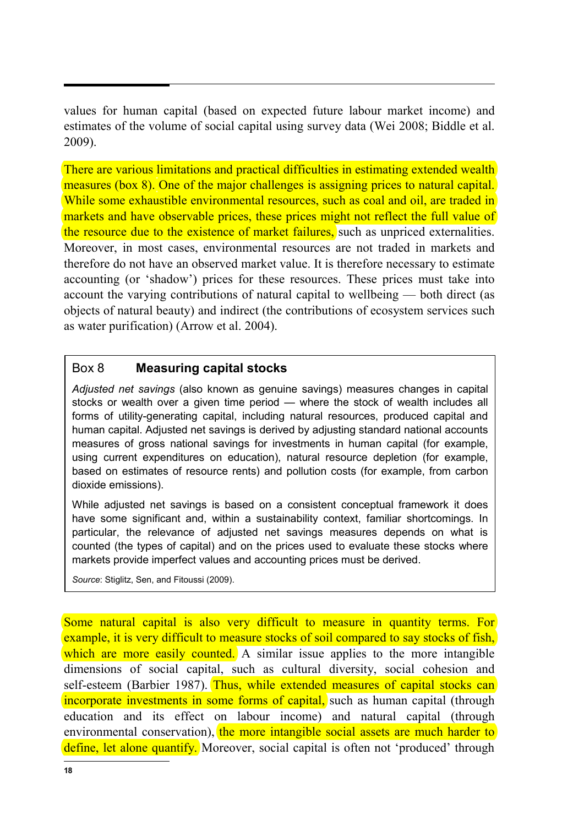values for human capital (based on expected future labour market income) and estimates of the volume of social capital using survey data (Wei 2008; Biddle et al. 2009).

There are various limitations and practical difficulties in estimating extended wealth measures (box 8). One of the major challenges is assigning prices to natural capital. While some exhaustible environmental resources, such as coal and oil, are traded in markets and have observable prices, these prices might not reflect the full value of the resource due to the existence of market failures, such as unpriced externalities. Moreover, in most cases, environmental resources are not traded in markets and therefore do not have an observed market value. It is therefore necessary to estimate accounting (or 'shadow') prices for these resources. These prices must take into account the varying contributions of natural capital to wellbeing — both direct (as objects of natural beauty) and indirect (the contributions of ecosystem services such as water purification) (Arrow et al. 2004).

#### Box 8 **Measuring capital stocks**

*Adjusted net savings* (also known as genuine savings) measures changes in capital stocks or wealth over a given time period — where the stock of wealth includes all forms of utility-generating capital, including natural resources, produced capital and human capital. Adjusted net savings is derived by adjusting standard national accounts measures of gross national savings for investments in human capital (for example, using current expenditures on education), natural resource depletion (for example, based on estimates of resource rents) and pollution costs (for example, from carbon dioxide emissions).

While adjusted net savings is based on a consistent conceptual framework it does have some significant and, within a sustainability context, familiar shortcomings. In particular, the relevance of adjusted net savings measures depends on what is counted (the types of capital) and on the prices used to evaluate these stocks where markets provide imperfect values and accounting prices must be derived.

*Source*: Stiglitz, Sen, and Fitoussi (2009).

Some natural capital is also very difficult to measure in quantity terms. For example, it is very difficult to measure stocks of soil compared to say stocks of fish, which are more easily counted. A similar issue applies to the more intangible dimensions of social capital, such as cultural diversity, social cohesion and self-esteem (Barbier 1987). Thus, while extended measures of capital stocks can incorporate investments in some forms of capital, such as human capital (through education and its effect on labour income) and natural capital (through environmental conservation), the more intangible social assets are much harder to define, let alone quantify. Moreover, social capital is often not 'produced' through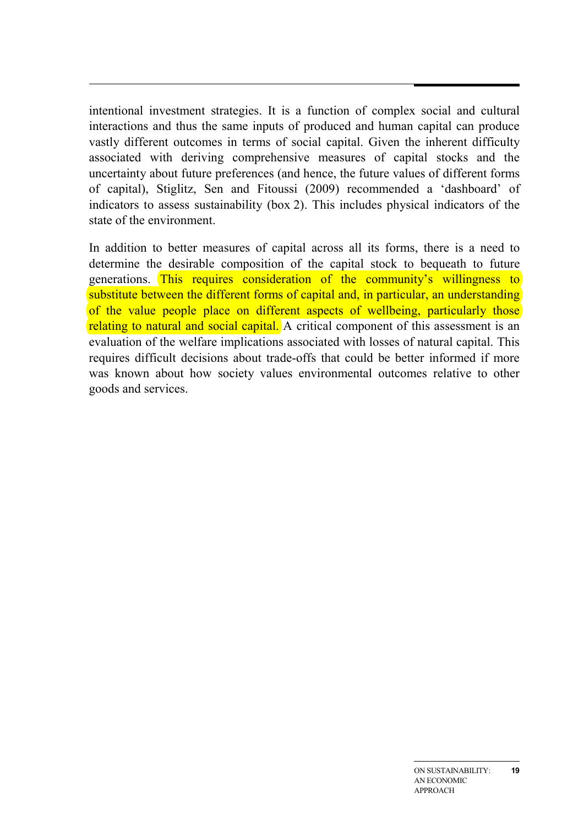intentional investment strategies. It is a function of complex social and cultural interactions and thus the same inputs of produced and human capital can produce vastly different outcomes in terms of social capital. Given the inherent difficulty associated with deriving comprehensive measures of capital stocks and the uncertainty about future preferences (and hence, the future values of different forms of capital), Stiglitz, Sen and Fitoussi (2009) recommended a 'dashboard' of indicators to assess sustainability (box 2). This includes physical indicators of the state of the environment.

In addition to better measures of capital across all its forms, there is a need to determine the desirable composition of the capital stock to bequeath to future generations. This requires consideration of the community's willingness to substitute between the different forms of capital and, in particular, an understanding of the value people place on different aspects of wellbeing, particularly those relating to natural and social capital. A critical component of this assessment is an evaluation of the welfare implications associated with losses of natural capital. This requires difficult decisions about trade-offs that could be better informed if more was known about how society values environmental outcomes relative to other goods and services.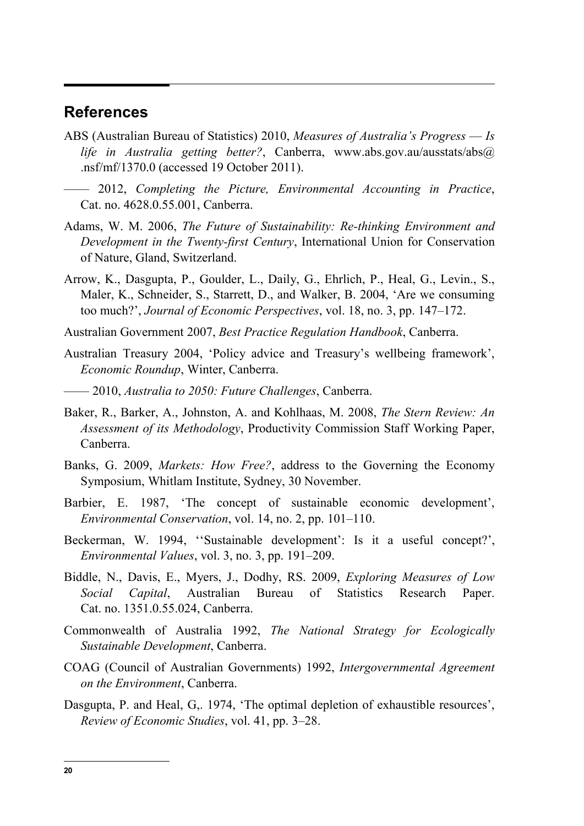#### **References**

- ABS (Australian Bureau of Statistics) 2010, *Measures of Australia's Progress Is life in Australia getting better?*, Canberra, www.abs.gov.au/ausstats/abs@ .nsf/mf/1370.0 (accessed 19 October 2011).
- —— 2012, *Completing the Picture, Environmental Accounting in Practice*, Cat. no. 4628.0.55.001, Canberra.
- Adams, W. M. 2006, *The Future of Sustainability: Re-thinking Environment and Development in the Twenty-first Century*, International Union for Conservation of Nature, Gland, Switzerland.
- Arrow, K., Dasgupta, P., Goulder, L., Daily, G., Ehrlich, P., Heal, G., Levin., S., Maler, K., Schneider, S., Starrett, D., and Walker, B. 2004, 'Are we consuming too much?', *Journal of Economic Perspectives*, vol. 18, no. 3, pp. 147–172.
- Australian Government 2007, *Best Practice Regulation Handbook*, Canberra.
- Australian Treasury 2004, 'Policy advice and Treasury's wellbeing framework', *Economic Roundup*, Winter, Canberra.
- —— 2010, *Australia to 2050: Future Challenges*, Canberra.
- Baker, R., Barker, A., Johnston, A. and Kohlhaas, M. 2008, *The Stern Review: An Assessment of its Methodology*, Productivity Commission Staff Working Paper, Canberra.
- Banks, G. 2009, *Markets: How Free?*, address to the Governing the Economy Symposium, Whitlam Institute, Sydney, 30 November.
- Barbier, E. 1987, 'The concept of sustainable economic development', *Environmental Conservation*, vol. 14, no. 2, pp. 101–110.
- Beckerman, W. 1994, ''Sustainable development': Is it a useful concept?', *Environmental Values*, vol. 3, no. 3, pp. 191–209.
- Biddle, N., Davis, E., Myers, J., Dodhy, RS. 2009, *Exploring Measures of Low Social Capital*, Australian Bureau of Statistics Research Paper. Cat. no. 1351.0.55.024, Canberra.
- Commonwealth of Australia 1992, *The National Strategy for Ecologically Sustainable Development*, Canberra.
- COAG (Council of Australian Governments) 1992, *Intergovernmental Agreement on the Environment*, Canberra.
- Dasgupta, P. and Heal, G. 1974, 'The optimal depletion of exhaustible resources', *Review of Economic Studies*, vol. 41, pp. 3–28.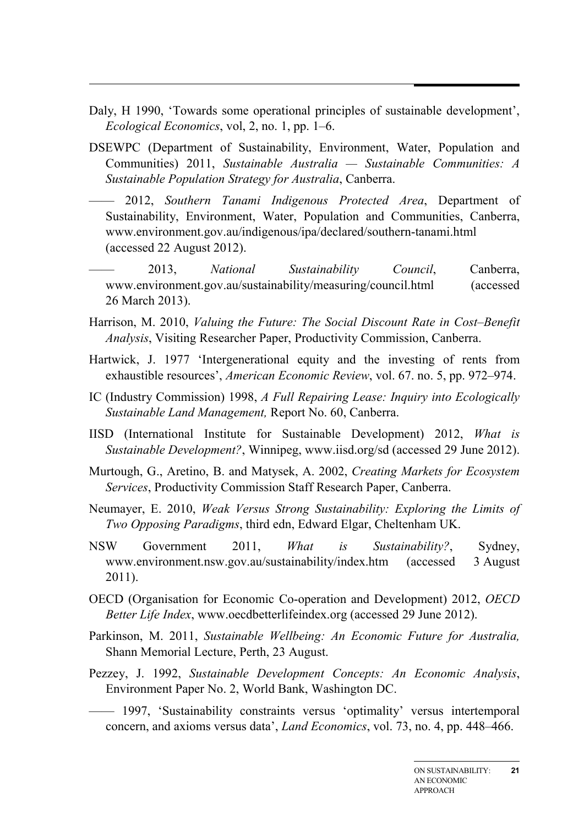- Daly, H 1990, 'Towards some operational principles of sustainable development', *Ecological Economics*, vol, 2, no. 1, pp. 1–6.
- DSEWPC (Department of Sustainability, Environment, Water, Population and Communities) 2011, *Sustainable Australia — Sustainable Communities: A Sustainable Population Strategy for Australia*, Canberra.
- —— 2012, *Southern Tanami Indigenous Protected Area*, Department of Sustainability, Environment, Water, Population and Communities, Canberra, www.environment.gov.au/indigenous/ipa/declared/southern-tanami.html (accessed 22 August 2012).
- —— 2013, *National Sustainability Council*, Canberra, www.environment.gov.au/sustainability/measuring/council.html (accessed 26 March 2013).
- Harrison, M. 2010, *Valuing the Future: The Social Discount Rate in Cost–Benefit Analysis*, Visiting Researcher Paper, Productivity Commission, Canberra.
- Hartwick, J. 1977 'Intergenerational equity and the investing of rents from exhaustible resources', *American Economic Review*, vol. 67. no. 5, pp. 972–974.
- IC (Industry Commission) 1998, *A Full Repairing Lease: Inquiry into Ecologically Sustainable Land Management,* Report No. 60, Canberra.
- IISD (International Institute for Sustainable Development) 2012, *What is Sustainable Development?*, Winnipeg, www.iisd.org/sd (accessed 29 June 2012).
- Murtough, G., Aretino, B. and Matysek, A. 2002, *Creating Markets for Ecosystem Services*, Productivity Commission Staff Research Paper, Canberra.
- Neumayer, E. 2010, *Weak Versus Strong Sustainability: Exploring the Limits of Two Opposing Paradigms*, third edn, Edward Elgar, Cheltenham UK.
- NSW Government 2011, *What is Sustainability?*, Sydney, www.environment.nsw.gov.au/sustainability/index.htm (accessed 3 August 2011).
- OECD (Organisation for Economic Co-operation and Development) 2012, *OECD Better Life Index*, www.oecdbetterlifeindex.org (accessed 29 June 2012).
- Parkinson, M. 2011, *Sustainable Wellbeing: An Economic Future for Australia,* Shann Memorial Lecture, Perth, 23 August.
- Pezzey, J. 1992, *Sustainable Development Concepts: An Economic Analysis*, Environment Paper No. 2, World Bank, Washington DC.
- —— 1997, 'Sustainability constraints versus 'optimality' versus intertemporal concern, and axioms versus data', *Land Economics*, vol. 73, no. 4, pp. 448–466.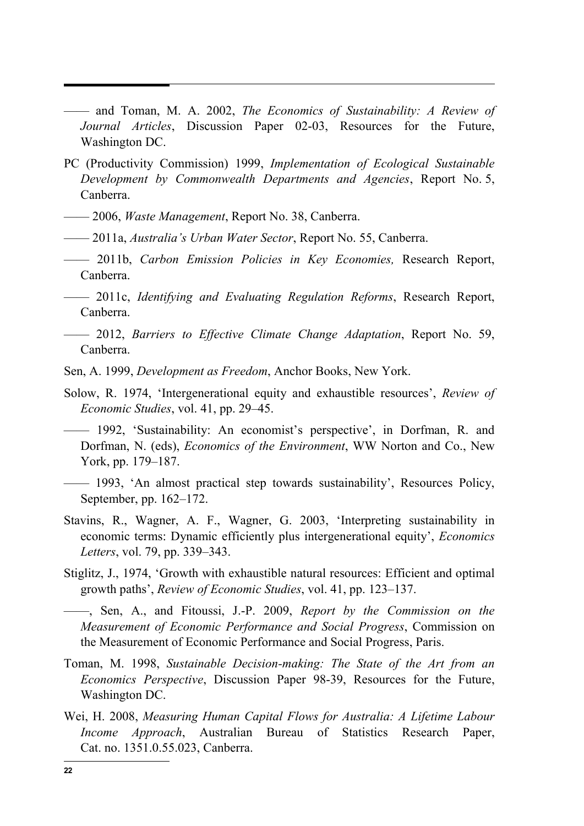—— and Toman, M. A. 2002, *The Economics of Sustainability: A Review of Journal Articles*, Discussion Paper 02-03, Resources for the Future, Washington DC.

- PC (Productivity Commission) 1999, *Implementation of Ecological Sustainable Development by Commonwealth Departments and Agencies*, Report No. 5, Canberra.
- —— 2006, *Waste Management*, Report No. 38, Canberra.
- —— 2011a, *Australia's Urban Water Sector*, Report No. 55, Canberra.
- —— 2011b, *Carbon Emission Policies in Key Economies,* Research Report, Canberra.
- —— 2011c, *Identifying and Evaluating Regulation Reforms*, Research Report, Canberra.
- —— 2012, *Barriers to Effective Climate Change Adaptation*, Report No. 59, Canberra.
- Sen, A. 1999, *Development as Freedom*, Anchor Books, New York.
- Solow, R. 1974, 'Intergenerational equity and exhaustible resources', *Review of Economic Studies*, vol. 41, pp. 29–45.
	- —— 1992, 'Sustainability: An economist's perspective', in Dorfman, R. and Dorfman, N. (eds), *Economics of the Environment*, WW Norton and Co., New York, pp. 179–187.
- —— 1993, 'An almost practical step towards sustainability', Resources Policy, September, pp. 162–172.
- Stavins, R., Wagner, A. F., Wagner, G. 2003, 'Interpreting sustainability in economic terms: Dynamic efficiently plus intergenerational equity', *Economics Letters*, vol. 79, pp. 339–343.
- Stiglitz, J., 1974, 'Growth with exhaustible natural resources: Efficient and optimal growth paths', *Review of Economic Studies*, vol. 41, pp. 123–137.
- ——, Sen, A., and Fitoussi, J.-P. 2009, *Report by the Commission on the Measurement of Economic Performance and Social Progress*, Commission on the Measurement of Economic Performance and Social Progress, Paris.
- Toman, M. 1998, *Sustainable Decision-making: The State of the Art from an Economics Perspective*, Discussion Paper 98-39, Resources for the Future, Washington DC.
- Wei, H. 2008, *Measuring Human Capital Flows for Australia: A Lifetime Labour Income Approach*, Australian Bureau of Statistics Research Paper, Cat. no. 1351.0.55.023, Canberra.